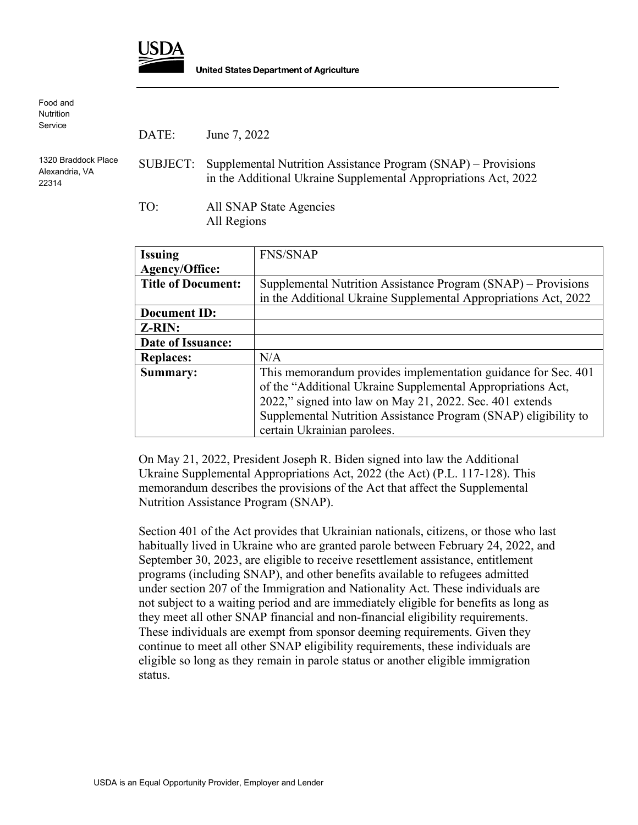

Food and **Nutrition** Service 1320 Braddock Place Alexandria, VA 22314 DATE: June 7, 2022 SUBJECT: Supplemental Nutrition Assistance Program (SNAP) – Provisions in the Additional Ukraine Supplemental Appropriations Act, 2022 TO: All SNAP State Agencies

All Regions

| <b>Issuing</b>            | <b>FNS/SNAP</b>                                                 |
|---------------------------|-----------------------------------------------------------------|
| Agency/Office:            |                                                                 |
| <b>Title of Document:</b> | Supplemental Nutrition Assistance Program (SNAP) – Provisions   |
|                           | in the Additional Ukraine Supplemental Appropriations Act, 2022 |
| <b>Document ID:</b>       |                                                                 |
| <b>Z-RIN:</b>             |                                                                 |
| Date of Issuance:         |                                                                 |
| <b>Replaces:</b>          | N/A                                                             |
| Summary:                  | This memorandum provides implementation guidance for Sec. 401   |
|                           | of the "Additional Ukraine Supplemental Appropriations Act,     |
|                           | 2022," signed into law on May 21, 2022. Sec. 401 extends        |
|                           | Supplemental Nutrition Assistance Program (SNAP) eligibility to |
|                           | certain Ukrainian parolees.                                     |

On May 21, 2022, President Joseph R. Biden signed into law the Additional Ukraine Supplemental Appropriations Act, 2022 (the Act) (P.L. 117-128). This memorandum describes the provisions of the Act that affect the Supplemental Nutrition Assistance Program (SNAP).

Section 401 of the Act provides that Ukrainian nationals, citizens, or those who last habitually lived in Ukraine who are granted parole between February 24, 2022, and September 30, 2023, are eligible to receive resettlement assistance, entitlement programs (including SNAP), and other benefits available to refugees admitted under section 207 of the Immigration and Nationality Act. These individuals are not subject to a waiting period and are immediately eligible for benefits as long as they meet all other SNAP financial and non-financial eligibility requirements. These individuals are exempt from sponsor deeming requirements. Given they continue to meet all other SNAP eligibility requirements, these individuals are eligible so long as they remain in parole status or another eligible immigration status.